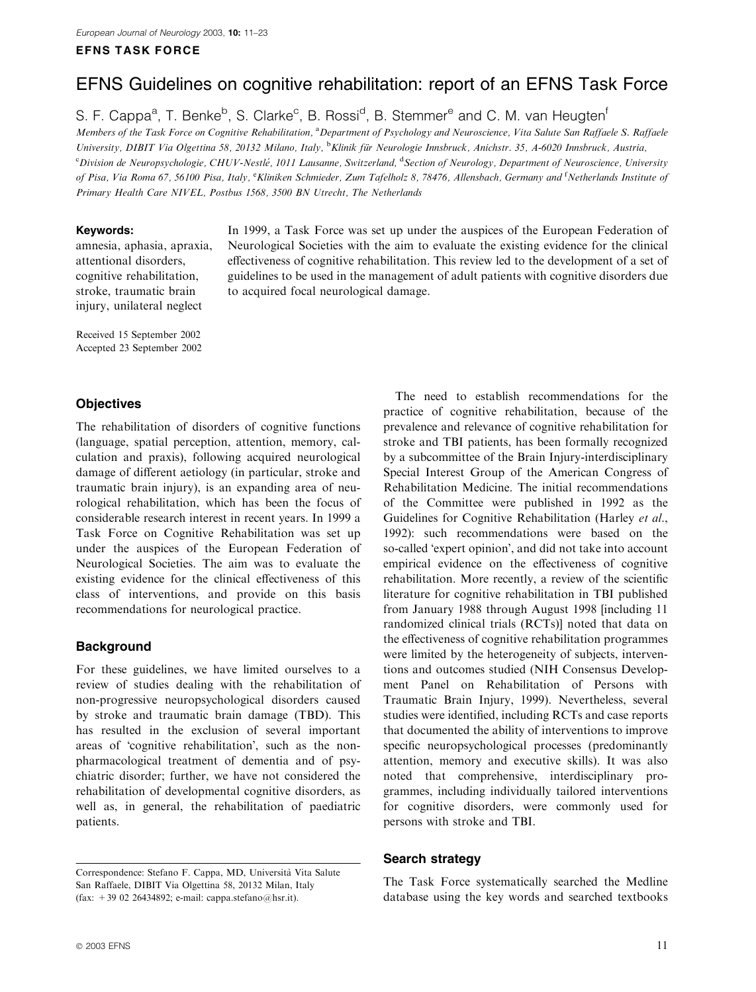## EFNS TASK FORCE

# EFNS Guidelines on cognitive rehabilitation: report of an EFNS Task Force

S. F. Cappa<sup>a</sup>, T. Benke<sup>b</sup>, S. Clarke<sup>c</sup>, B. Rossi<sup>d</sup>, B. Stemmer<sup>e</sup> and C. M. van Heugten<sup>f</sup>

Members of the Task Force on Cognitive Rehabilitation, <sup>a</sup> Department of Psychology and Neuroscience, Vita Salute San Raffaele S. Raffaele University, DIBIT Via Olgettina 58, 20132 Milano, Italy, <sup>b</sup>Klinik für Neurologie Innsbruck, Anichstr. 35, A-6020 Innsbruck, Austria, <sup>c</sup>Division de Neuropsychologie, CHUV-Nestlé, 1011 Lausanne, Switzerland, <sup>d</sup>Section of Neurology, Department of Neuroscience, University

of Pisa, Via Roma 67, 56100 Pisa, Italy, <sup>e</sup>Kliniken Schmieder, Zum Tafelholz 8, 78476, Allensbach, Germany and <sup>f</sup>Netherlands Institute of Primary Health Care NIVEL, Postbus 1568, 3500 BN Utrecht, The Netherlands

#### Keywords:

amnesia, aphasia, apraxia, attentional disorders, cognitive rehabilitation, stroke, traumatic brain injury, unilateral neglect

In 1999, a Task Force was set up under the auspices of the European Federation of Neurological Societies with the aim to evaluate the existing evidence for the clinical effectiveness of cognitive rehabilitation. This review led to the development of a set of guidelines to be used in the management of adult patients with cognitive disorders due to acquired focal neurological damage.

Received 15 September 2002 Accepted 23September 2002

## **Objectives**

The rehabilitation of disorders of cognitive functions (language, spatial perception, attention, memory, calculation and praxis), following acquired neurological damage of different aetiology (in particular, stroke and traumatic brain injury), is an expanding area of neurological rehabilitation, which has been the focus of considerable research interest in recent years. In 1999 a Task Force on Cognitive Rehabilitation was set up under the auspices of the European Federation of Neurological Societies. The aim was to evaluate the existing evidence for the clinical effectiveness of this class of interventions, and provide on this basis recommendations for neurological practice.

#### **Background**

For these guidelines, we have limited ourselves to a review of studies dealing with the rehabilitation of non-progressive neuropsychological disorders caused by stroke and traumatic brain damage (TBD). This has resulted in the exclusion of several important areas of 'cognitive rehabilitation', such as the nonpharmacological treatment of dementia and of psychiatric disorder; further, we have not considered the rehabilitation of developmental cognitive disorders, as well as, in general, the rehabilitation of paediatric patients.

 $\circ$  2003 EFNS  $11$ 

The need to establish recommendations for the practice of cognitive rehabilitation, because of the prevalence and relevance of cognitive rehabilitation for stroke and TBI patients, has been formally recognized by a subcommittee of the Brain Injury-interdisciplinary Special Interest Group of the American Congress of Rehabilitation Medicine. The initial recommendations of the Committee were published in 1992 as the Guidelines for Cognitive Rehabilitation (Harley et al., 1992): such recommendations were based on the so-called 'expert opinion', and did not take into account empirical evidence on the effectiveness of cognitive rehabilitation. More recently, a review of the scientific literature for cognitive rehabilitation in TBI published from January 1988 through August 1998 [including 11 randomized clinical trials (RCTs)] noted that data on the effectiveness of cognitive rehabilitation programmes were limited by the heterogeneity of subjects, interventions and outcomes studied (NIH Consensus Development Panel on Rehabilitation of Persons with Traumatic Brain Injury, 1999). Nevertheless, several studies were identified, including RCTs and case reports that documented the ability of interventions to improve specific neuropsychological processes (predominantly attention, memory and executive skills). It was also noted that comprehensive, interdisciplinary programmes, including individually tailored interventions for cognitive disorders, were commonly used for persons with stroke and TBI.

## Search strategy

The Task Force systematically searched the Medline database using the key words and searched textbooks

Correspondence: Stefano F. Cappa, MD, Universita` Vita Salute San Raffaele, DIBIT Via Olgettina 58, 20132 Milan, Italy (fax:  $+39$  02 26434892; e-mail: cappa.stefano@hsr.it).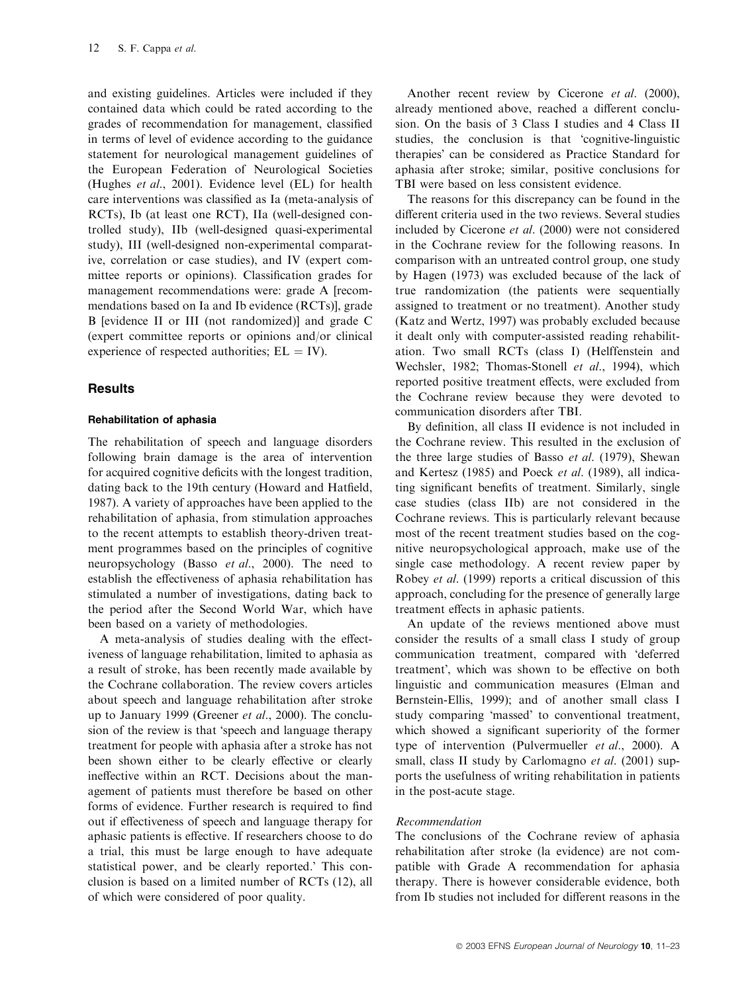and existing guidelines. Articles were included if they contained data which could be rated according to the grades of recommendation for management, classified in terms of level of evidence according to the guidance statement for neurological management guidelines of the European Federation of Neurological Societies (Hughes et al., 2001). Evidence level (EL) for health care interventions was classified as Ia (meta-analysis of RCTs), Ib (at least one RCT), IIa (well-designed controlled study), IIb (well-designed quasi-experimental study), III (well-designed non-experimental comparative, correlation or case studies), and IV (expert committee reports or opinions). Classification grades for management recommendations were: grade A [recommendations based on Ia and Ib evidence (RCTs)], grade B [evidence II or III (not randomized)] and grade C (expert committee reports or opinions and/or clinical experience of respected authorities;  $EL = IV$ ).

## Results

#### Rehabilitation of aphasia

The rehabilitation of speech and language disorders following brain damage is the area of intervention for acquired cognitive deficits with the longest tradition, dating back to the 19th century (Howard and Hatfield, 1987). A variety of approaches have been applied to the rehabilitation of aphasia, from stimulation approaches to the recent attempts to establish theory-driven treatment programmes based on the principles of cognitive neuropsychology (Basso et al., 2000). The need to establish the effectiveness of aphasia rehabilitation has stimulated a number of investigations, dating back to the period after the Second World War, which have been based on a variety of methodologies.

A meta-analysis of studies dealing with the effectiveness of language rehabilitation, limited to aphasia as a result of stroke, has been recently made available by the Cochrane collaboration. The review covers articles about speech and language rehabilitation after stroke up to January 1999 (Greener et al., 2000). The conclusion of the review is that 'speech and language therapy treatment for people with aphasia after a stroke has not been shown either to be clearly effective or clearly ineffective within an RCT. Decisions about the management of patients must therefore be based on other forms of evidence. Further research is required to find out if effectiveness of speech and language therapy for aphasic patients is effective. If researchers choose to do a trial, this must be large enough to have adequate statistical power, and be clearly reported.' This conclusion is based on a limited number of RCTs (12), all of which were considered of poor quality.

Another recent review by Cicerone et al. (2000), already mentioned above, reached a different conclusion. On the basis of 3 Class I studies and 4 Class II studies, the conclusion is that 'cognitive-linguistic therapies' can be considered as Practice Standard for aphasia after stroke; similar, positive conclusions for TBI were based on less consistent evidence.

The reasons for this discrepancy can be found in the different criteria used in the two reviews. Several studies included by Cicerone et al. (2000) were not considered in the Cochrane review for the following reasons. In comparison with an untreated control group, one study by Hagen (1973) was excluded because of the lack of true randomization (the patients were sequentially assigned to treatment or no treatment). Another study (Katz and Wertz, 1997) was probably excluded because it dealt only with computer-assisted reading rehabilitation. Two small RCTs (class I) (Helffenstein and Wechsler, 1982; Thomas-Stonell et al., 1994), which reported positive treatment effects, were excluded from the Cochrane review because they were devoted to communication disorders after TBI.

By definition, all class II evidence is not included in the Cochrane review. This resulted in the exclusion of the three large studies of Basso et al. (1979), Shewan and Kertesz (1985) and Poeck et al. (1989), all indicating significant benefits of treatment. Similarly, single case studies (class IIb) are not considered in the Cochrane reviews. This is particularly relevant because most of the recent treatment studies based on the cognitive neuropsychological approach, make use of the single case methodology. A recent review paper by Robey et al. (1999) reports a critical discussion of this approach, concluding for the presence of generally large treatment effects in aphasic patients.

An update of the reviews mentioned above must consider the results of a small class I study of group communication treatment, compared with deferred treatment', which was shown to be effective on both linguistic and communication measures (Elman and Bernstein-Ellis, 1999); and of another small class I study comparing 'massed' to conventional treatment, which showed a significant superiority of the former type of intervention (Pulvermueller et al., 2000). A small, class II study by Carlomagno et al. (2001) supports the usefulness of writing rehabilitation in patients in the post-acute stage.

#### Recommendation

The conclusions of the Cochrane review of aphasia rehabilitation after stroke (la evidence) are not compatible with Grade A recommendation for aphasia therapy. There is however considerable evidence, both from Ib studies not included for different reasons in the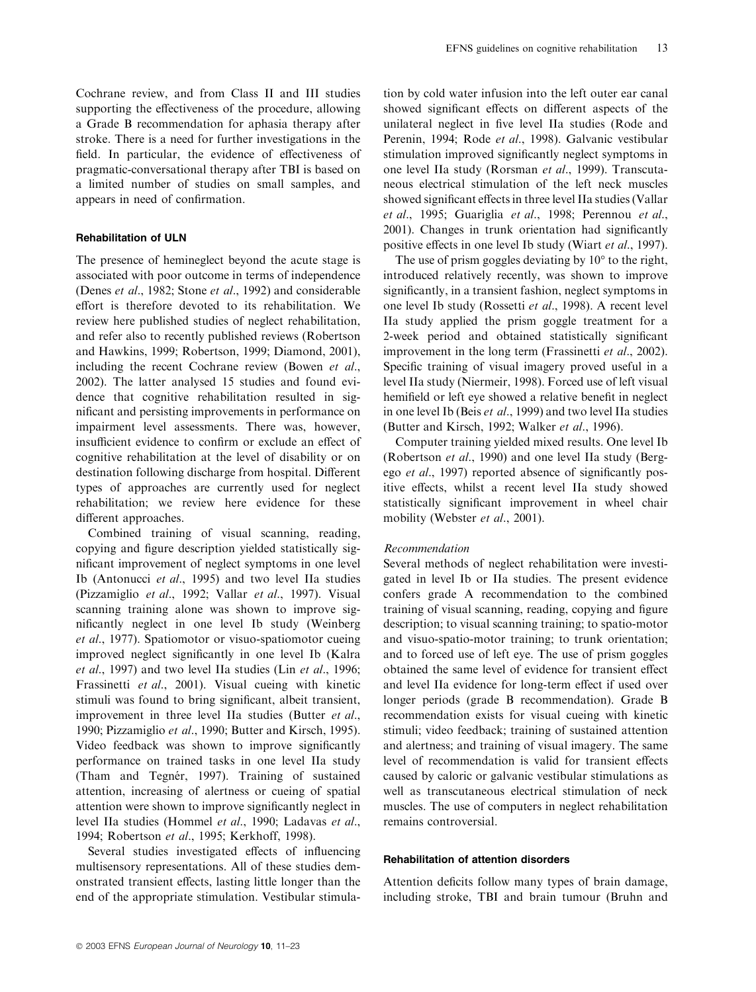Cochrane review, and from Class II and III studies supporting the effectiveness of the procedure, allowing a Grade B recommendation for aphasia therapy after stroke. There is a need for further investigations in the field. In particular, the evidence of effectiveness of pragmatic-conversational therapy after TBI is based on a limited number of studies on small samples, and appears in need of confirmation.

## Rehabilitation of ULN

The presence of hemineglect beyond the acute stage is associated with poor outcome in terms of independence (Denes et al., 1982; Stone et al., 1992) and considerable effort is therefore devoted to its rehabilitation. We review here published studies of neglect rehabilitation, and refer also to recently published reviews (Robertson and Hawkins, 1999; Robertson, 1999; Diamond, 2001), including the recent Cochrane review (Bowen et al., 2002). The latter analysed 15 studies and found evidence that cognitive rehabilitation resulted in significant and persisting improvements in performance on impairment level assessments. There was, however, insufficient evidence to confirm or exclude an effect of cognitive rehabilitation at the level of disability or on destination following discharge from hospital. Different types of approaches are currently used for neglect rehabilitation; we review here evidence for these different approaches.

Combined training of visual scanning, reading, copying and figure description yielded statistically significant improvement of neglect symptoms in one level Ib (Antonucci et al., 1995) and two level IIa studies (Pizzamiglio et al., 1992; Vallar et al., 1997). Visual scanning training alone was shown to improve significantly neglect in one level Ib study (Weinberg et al., 1977). Spatiomotor or visuo-spatiomotor cueing improved neglect significantly in one level Ib (Kalra et al., 1997) and two level IIa studies (Lin et al., 1996; Frassinetti et al., 2001). Visual cueing with kinetic stimuli was found to bring significant, albeit transient, improvement in three level IIa studies (Butter et al., 1990; Pizzamiglio et al., 1990; Butter and Kirsch, 1995). Video feedback was shown to improve significantly performance on trained tasks in one level IIa study (Tham and Tegnér, 1997). Training of sustained attention, increasing of alertness or cueing of spatial attention were shown to improve significantly neglect in level IIa studies (Hommel et al., 1990; Ladavas et al., 1994; Robertson et al., 1995; Kerkhoff, 1998).

Several studies investigated effects of influencing multisensory representations. All of these studies demonstrated transient effects, lasting little longer than the end of the appropriate stimulation. Vestibular stimulation by cold water infusion into the left outer ear canal showed significant effects on different aspects of the unilateral neglect in five level IIa studies (Rode and Perenin, 1994; Rode et al., 1998). Galvanic vestibular stimulation improved significantly neglect symptoms in one level IIa study (Rorsman et al., 1999). Transcutaneous electrical stimulation of the left neck muscles showed significant effects in three level IIa studies (Vallar et al., 1995; Guariglia et al., 1998; Perennou et al., 2001). Changes in trunk orientation had significantly positive effects in one level Ib study (Wiart et al., 1997).

The use of prism goggles deviating by  $10^{\circ}$  to the right, introduced relatively recently, was shown to improve significantly, in a transient fashion, neglect symptoms in one level Ib study (Rossetti et al., 1998). A recent level IIa study applied the prism goggle treatment for a 2-week period and obtained statistically significant improvement in the long term (Frassinetti et al., 2002). Specific training of visual imagery proved useful in a level IIa study (Niermeir, 1998). Forced use of left visual hemifield or left eye showed a relative benefit in neglect in one level Ib (Beis et al., 1999) and two level IIa studies (Butter and Kirsch, 1992; Walker et al., 1996).

Computer training yielded mixed results. One level Ib (Robertson et al., 1990) and one level IIa study (Bergego et al., 1997) reported absence of significantly positive effects, whilst a recent level IIa study showed statistically significant improvement in wheel chair mobility (Webster et al., 2001).

## Recommendation

Several methods of neglect rehabilitation were investigated in level Ib or IIa studies. The present evidence confers grade A recommendation to the combined training of visual scanning, reading, copying and figure description; to visual scanning training; to spatio-motor and visuo-spatio-motor training; to trunk orientation; and to forced use of left eye. The use of prism goggles obtained the same level of evidence for transient effect and level IIa evidence for long-term effect if used over longer periods (grade B recommendation). Grade B recommendation exists for visual cueing with kinetic stimuli; video feedback; training of sustained attention and alertness; and training of visual imagery. The same level of recommendation is valid for transient effects caused by caloric or galvanic vestibular stimulations as well as transcutaneous electrical stimulation of neck muscles. The use of computers in neglect rehabilitation remains controversial.

#### Rehabilitation of attention disorders

Attention deficits follow many types of brain damage, including stroke, TBI and brain tumour (Bruhn and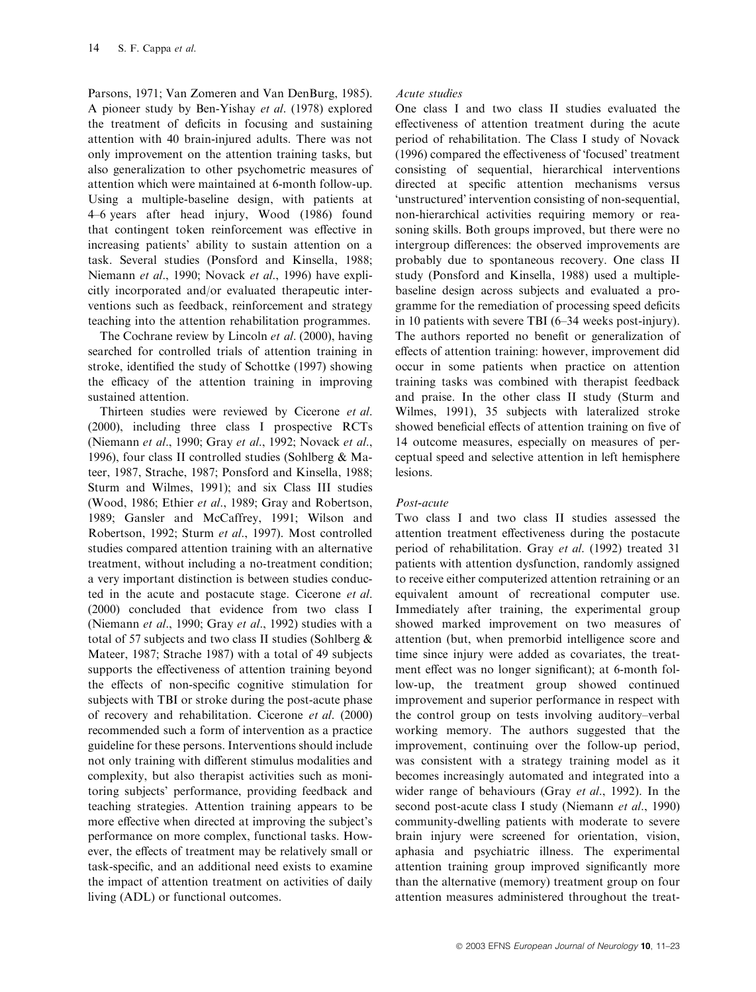Parsons, 1971; Van Zomeren and Van DenBurg, 1985). A pioneer study by Ben-Yishay et al. (1978) explored the treatment of deficits in focusing and sustaining attention with 40 brain-injured adults. There was not only improvement on the attention training tasks, but also generalization to other psychometric measures of attention which were maintained at 6-month follow-up. Using a multiple-baseline design, with patients at 4–6 years after head injury, Wood (1986) found that contingent token reinforcement was effective in increasing patients' ability to sustain attention on a task. Several studies (Ponsford and Kinsella, 1988; Niemann et al., 1990; Novack et al., 1996) have explicitly incorporated and/or evaluated therapeutic interventions such as feedback, reinforcement and strategy teaching into the attention rehabilitation programmes.

The Cochrane review by Lincoln *et al.* (2000), having searched for controlled trials of attention training in stroke, identified the study of Schottke (1997) showing the efficacy of the attention training in improving sustained attention.

Thirteen studies were reviewed by Cicerone et al. (2000), including three class I prospective RCTs (Niemann et al., 1990; Gray et al., 1992; Novack et al., 1996), four class II controlled studies (Sohlberg & Mateer, 1987, Strache, 1987; Ponsford and Kinsella, 1988; Sturm and Wilmes, 1991); and six Class III studies (Wood, 1986; Ethier et al., 1989; Gray and Robertson, 1989; Gansler and McCaffrey, 1991; Wilson and Robertson, 1992; Sturm et al., 1997). Most controlled studies compared attention training with an alternative treatment, without including a no-treatment condition; a very important distinction is between studies conducted in the acute and postacute stage. Cicerone et al. (2000) concluded that evidence from two class I (Niemann et al., 1990; Gray et al., 1992) studies with a total of 57 subjects and two class II studies (Sohlberg & Mateer, 1987; Strache 1987) with a total of 49 subjects supports the effectiveness of attention training beyond the effects of non-specific cognitive stimulation for subjects with TBI or stroke during the post-acute phase of recovery and rehabilitation. Cicerone et al. (2000) recommended such a form of intervention as a practice guideline for these persons. Interventions should include not only training with different stimulus modalities and complexity, but also therapist activities such as monitoring subjects' performance, providing feedback and teaching strategies. Attention training appears to be more effective when directed at improving the subject's performance on more complex, functional tasks. However, the effects of treatment may be relatively small or task-specific, and an additional need exists to examine the impact of attention treatment on activities of daily living (ADL) or functional outcomes.

#### Acute studies

One class I and two class II studies evaluated the effectiveness of attention treatment during the acute period of rehabilitation. The Class I study of Novack (1996) compared the effectiveness of 'focused' treatment consisting of sequential, hierarchical interventions directed at specific attention mechanisms versus 'unstructured' intervention consisting of non-sequential, non-hierarchical activities requiring memory or reasoning skills. Both groups improved, but there were no intergroup differences: the observed improvements are probably due to spontaneous recovery. One class II study (Ponsford and Kinsella, 1988) used a multiplebaseline design across subjects and evaluated a programme for the remediation of processing speed deficits in 10 patients with severe TBI (6–34 weeks post-injury). The authors reported no benefit or generalization of effects of attention training: however, improvement did occur in some patients when practice on attention training tasks was combined with therapist feedback and praise. In the other class II study (Sturm and Wilmes, 1991), 35 subjects with lateralized stroke showed beneficial effects of attention training on five of 14 outcome measures, especially on measures of perceptual speed and selective attention in left hemisphere lesions.

#### Post-acute

Two class I and two class II studies assessed the attention treatment effectiveness during the postacute period of rehabilitation. Gray et al. (1992) treated 31 patients with attention dysfunction, randomly assigned to receive either computerized attention retraining or an equivalent amount of recreational computer use. Immediately after training, the experimental group showed marked improvement on two measures of attention (but, when premorbid intelligence score and time since injury were added as covariates, the treatment effect was no longer significant); at 6-month follow-up, the treatment group showed continued improvement and superior performance in respect with the control group on tests involving auditory–verbal working memory. The authors suggested that the improvement, continuing over the follow-up period, was consistent with a strategy training model as it becomes increasingly automated and integrated into a wider range of behaviours (Gray et al., 1992). In the second post-acute class I study (Niemann et al., 1990) community-dwelling patients with moderate to severe brain injury were screened for orientation, vision, aphasia and psychiatric illness. The experimental attention training group improved significantly more than the alternative (memory) treatment group on four attention measures administered throughout the treat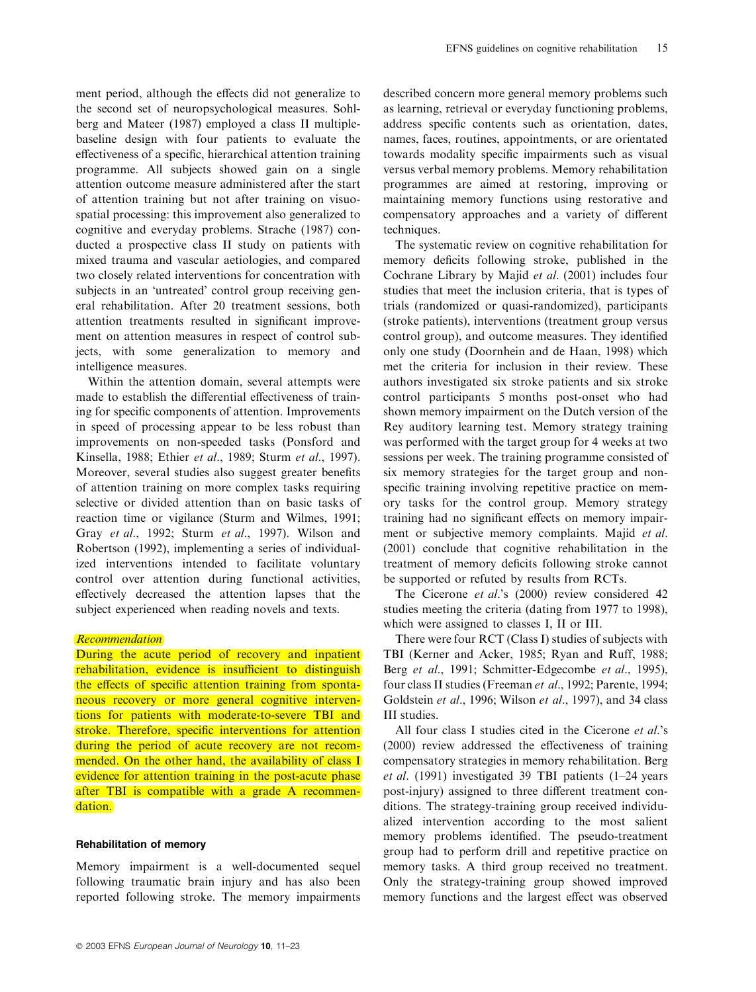ment period, although the effects did not generalize to the second set of neuropsychological measures. Sohlberg and Mateer (1987) employed a class II multiplebaseline design with four patients to evaluate the effectiveness of a specific, hierarchical attention training programme. All subjects showed gain on a single attention outcome measure administered after the start of attention training but not after training on visuospatial processing: this improvement also generalized to cognitive and everyday problems. Strache (1987) conducted a prospective class II study on patients with mixed trauma and vascular aetiologies, and compared two closely related interventions for concentration with subjects in an 'untreated' control group receiving general rehabilitation. After 20 treatment sessions, both attention treatments resulted in significant improvement on attention measures in respect of control subjects, with some generalization to memory and intelligence measures.

Within the attention domain, several attempts were made to establish the differential effectiveness of training for specific components of attention. Improvements in speed of processing appear to be less robust than improvements on non-speeded tasks (Ponsford and Kinsella, 1988; Ethier et al., 1989; Sturm et al., 1997). Moreover, several studies also suggest greater benefits of attention training on more complex tasks requiring selective or divided attention than on basic tasks of reaction time or vigilance (Sturm and Wilmes, 1991; Gray et al., 1992; Sturm et al., 1997). Wilson and Robertson (1992), implementing a series of individualized interventions intended to facilitate voluntary control over attention during functional activities, effectively decreased the attention lapses that the subject experienced when reading novels and texts.

#### **Recommendation**

During the acute period of recovery and inpatient rehabilitation, evidence is insufficient to distinguish the effects of specific attention training from spontaneous recovery or more general cognitive interventions for patients with moderate-to-severe TBI and stroke. Therefore, specific interventions for attention during the period of acute recovery are not recommended. On the other hand, the availability of class I evidence for attention training in the post-acute phase after TBI is compatible with a grade A recommendation.

## Rehabilitation of memory

Memory impairment is a well-documented sequel following traumatic brain injury and has also been reported following stroke. The memory impairments described concern more general memory problems such as learning, retrieval or everyday functioning problems, address specific contents such as orientation, dates, names, faces, routines, appointments, or are orientated towards modality specific impairments such as visual versus verbal memory problems. Memory rehabilitation programmes are aimed at restoring, improving or maintaining memory functions using restorative and compensatory approaches and a variety of different techniques.

The systematic review on cognitive rehabilitation for memory deficits following stroke, published in the Cochrane Library by Majid et al. (2001) includes four studies that meet the inclusion criteria, that is types of trials (randomized or quasi-randomized), participants (stroke patients), interventions (treatment group versus control group), and outcome measures. They identified only one study (Doornhein and de Haan, 1998) which met the criteria for inclusion in their review. These authors investigated six stroke patients and six stroke control participants 5 months post-onset who had shown memory impairment on the Dutch version of the Rey auditory learning test. Memory strategy training was performed with the target group for 4 weeks at two sessions per week. The training programme consisted of six memory strategies for the target group and nonspecific training involving repetitive practice on memory tasks for the control group. Memory strategy training had no significant effects on memory impairment or subjective memory complaints. Majid et al. (2001) conclude that cognitive rehabilitation in the treatment of memory deficits following stroke cannot be supported or refuted by results from RCTs.

The Cicerone et al.'s (2000) review considered 42 studies meeting the criteria (dating from 1977 to 1998), which were assigned to classes I, II or III.

There were four RCT (Class I) studies of subjects with TBI (Kerner and Acker, 1985; Ryan and Ruff, 1988; Berg et al., 1991; Schmitter-Edgecombe et al., 1995), four class II studies (Freeman et al., 1992; Parente, 1994; Goldstein et al., 1996; Wilson et al., 1997), and 34 class III studies.

All four class I studies cited in the Cicerone et al.'s (2000) review addressed the effectiveness of training compensatory strategies in memory rehabilitation. Berg et al. (1991) investigated 39 TBI patients (1–24 years post-injury) assigned to three different treatment conditions. The strategy-training group received individualized intervention according to the most salient memory problems identified. The pseudo-treatment group had to perform drill and repetitive practice on memory tasks. A third group received no treatment. Only the strategy-training group showed improved memory functions and the largest effect was observed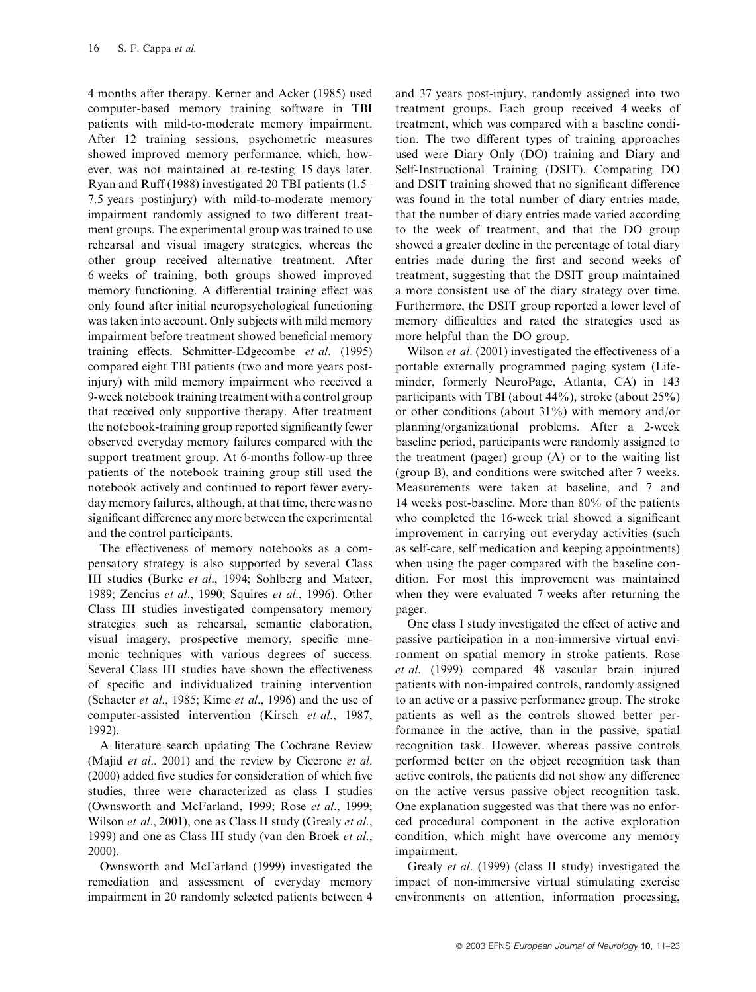4 months after therapy. Kerner and Acker (1985) used computer-based memory training software in TBI patients with mild-to-moderate memory impairment. After 12 training sessions, psychometric measures showed improved memory performance, which, however, was not maintained at re-testing 15 days later. Ryan and Ruff (1988) investigated 20 TBI patients (1.5– 7.5 years postinjury) with mild-to-moderate memory impairment randomly assigned to two different treatment groups. The experimental group was trained to use rehearsal and visual imagery strategies, whereas the other group received alternative treatment. After 6 weeks of training, both groups showed improved memory functioning. A differential training effect was only found after initial neuropsychological functioning was taken into account. Only subjects with mild memory impairment before treatment showed beneficial memory training effects. Schmitter-Edgecombe et al. (1995) compared eight TBI patients (two and more years postinjury) with mild memory impairment who received a 9-week notebook training treatment with a control group that received only supportive therapy. After treatment the notebook-training group reported significantly fewer observed everyday memory failures compared with the support treatment group. At 6-months follow-up three patients of the notebook training group still used the notebook actively and continued to report fewer everyday memory failures, although, at that time, there was no significant difference any more between the experimental and the control participants.

The effectiveness of memory notebooks as a compensatory strategy is also supported by several Class III studies (Burke et al., 1994; Sohlberg and Mateer, 1989; Zencius et al., 1990; Squires et al., 1996). Other Class III studies investigated compensatory memory strategies such as rehearsal, semantic elaboration, visual imagery, prospective memory, specific mnemonic techniques with various degrees of success. Several Class III studies have shown the effectiveness of specific and individualized training intervention (Schacter et al., 1985; Kime et al., 1996) and the use of computer-assisted intervention (Kirsch et al., 1987, 1992).

A literature search updating The Cochrane Review (Majid *et al.*, 2001) and the review by Cicerone *et al.* (2000) added five studies for consideration of which five studies, three were characterized as class I studies (Ownsworth and McFarland, 1999; Rose et al., 1999; Wilson et al., 2001), one as Class II study (Grealy et al., 1999) and one as Class III study (van den Broek et al., 2000).

Ownsworth and McFarland (1999) investigated the remediation and assessment of everyday memory impairment in 20 randomly selected patients between 4 and 37 years post-injury, randomly assigned into two treatment groups. Each group received 4 weeks of treatment, which was compared with a baseline condition. The two different types of training approaches used were Diary Only (DO) training and Diary and Self-Instructional Training (DSIT). Comparing DO and DSIT training showed that no significant difference was found in the total number of diary entries made, that the number of diary entries made varied according to the week of treatment, and that the DO group showed a greater decline in the percentage of total diary entries made during the first and second weeks of treatment, suggesting that the DSIT group maintained a more consistent use of the diary strategy over time. Furthermore, the DSIT group reported a lower level of memory difficulties and rated the strategies used as more helpful than the DO group.

Wilson et al. (2001) investigated the effectiveness of a portable externally programmed paging system (Lifeminder, formerly NeuroPage, Atlanta, CA) in 143 participants with TBI (about 44%), stroke (about 25%) or other conditions (about 31%) with memory and/or planning/organizational problems. After a 2-week baseline period, participants were randomly assigned to the treatment (pager) group (A) or to the waiting list (group B), and conditions were switched after 7 weeks. Measurements were taken at baseline, and 7 and 14 weeks post-baseline. More than 80% of the patients who completed the 16-week trial showed a significant improvement in carrying out everyday activities (such as self-care, self medication and keeping appointments) when using the pager compared with the baseline condition. For most this improvement was maintained when they were evaluated 7 weeks after returning the pager.

One class I study investigated the effect of active and passive participation in a non-immersive virtual environment on spatial memory in stroke patients. Rose et al. (1999) compared 48 vascular brain injured patients with non-impaired controls, randomly assigned to an active or a passive performance group. The stroke patients as well as the controls showed better performance in the active, than in the passive, spatial recognition task. However, whereas passive controls performed better on the object recognition task than active controls, the patients did not show any difference on the active versus passive object recognition task. One explanation suggested was that there was no enforced procedural component in the active exploration condition, which might have overcome any memory impairment.

Grealy et al. (1999) (class II study) investigated the impact of non-immersive virtual stimulating exercise environments on attention, information processing,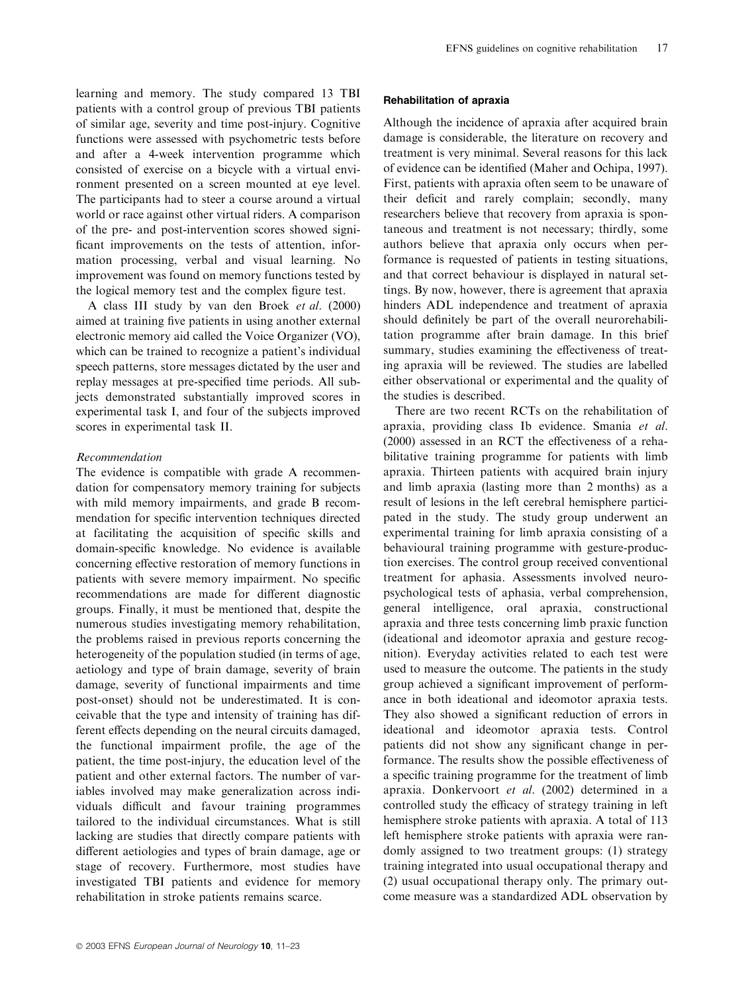learning and memory. The study compared 13 TBI patients with a control group of previous TBI patients of similar age, severity and time post-injury. Cognitive functions were assessed with psychometric tests before and after a 4-week intervention programme which consisted of exercise on a bicycle with a virtual environment presented on a screen mounted at eye level. The participants had to steer a course around a virtual world or race against other virtual riders. A comparison of the pre- and post-intervention scores showed significant improvements on the tests of attention, information processing, verbal and visual learning. No improvement was found on memory functions tested by the logical memory test and the complex figure test.

A class III study by van den Broek et al. (2000) aimed at training five patients in using another external electronic memory aid called the Voice Organizer (VO), which can be trained to recognize a patient's individual speech patterns, store messages dictated by the user and replay messages at pre-specified time periods. All subjects demonstrated substantially improved scores in experimental task I, and four of the subjects improved scores in experimental task II.

## Recommendation

The evidence is compatible with grade A recommendation for compensatory memory training for subjects with mild memory impairments, and grade B recommendation for specific intervention techniques directed at facilitating the acquisition of specific skills and domain-specific knowledge. No evidence is available concerning effective restoration of memory functions in patients with severe memory impairment. No specific recommendations are made for different diagnostic groups. Finally, it must be mentioned that, despite the numerous studies investigating memory rehabilitation, the problems raised in previous reports concerning the heterogeneity of the population studied (in terms of age, aetiology and type of brain damage, severity of brain damage, severity of functional impairments and time post-onset) should not be underestimated. It is conceivable that the type and intensity of training has different effects depending on the neural circuits damaged, the functional impairment profile, the age of the patient, the time post-injury, the education level of the patient and other external factors. The number of variables involved may make generalization across individuals difficult and favour training programmes tailored to the individual circumstances. What is still lacking are studies that directly compare patients with different aetiologies and types of brain damage, age or stage of recovery. Furthermore, most studies have investigated TBI patients and evidence for memory rehabilitation in stroke patients remains scarce.

## Rehabilitation of apraxia

Although the incidence of apraxia after acquired brain damage is considerable, the literature on recovery and treatment is very minimal. Several reasons for this lack of evidence can be identified (Maher and Ochipa, 1997). First, patients with apraxia often seem to be unaware of their deficit and rarely complain; secondly, many researchers believe that recovery from apraxia is spontaneous and treatment is not necessary; thirdly, some authors believe that apraxia only occurs when performance is requested of patients in testing situations, and that correct behaviour is displayed in natural settings. By now, however, there is agreement that apraxia hinders ADL independence and treatment of apraxia should definitely be part of the overall neurorehabilitation programme after brain damage. In this brief summary, studies examining the effectiveness of treating apraxia will be reviewed. The studies are labelled either observational or experimental and the quality of the studies is described.

There are two recent RCTs on the rehabilitation of apraxia, providing class Ib evidence. Smania et al. (2000) assessed in an RCT the effectiveness of a rehabilitative training programme for patients with limb apraxia. Thirteen patients with acquired brain injury and limb apraxia (lasting more than 2 months) as a result of lesions in the left cerebral hemisphere participated in the study. The study group underwent an experimental training for limb apraxia consisting of a behavioural training programme with gesture-production exercises. The control group received conventional treatment for aphasia. Assessments involved neuropsychological tests of aphasia, verbal comprehension, general intelligence, oral apraxia, constructional apraxia and three tests concerning limb praxic function (ideational and ideomotor apraxia and gesture recognition). Everyday activities related to each test were used to measure the outcome. The patients in the study group achieved a significant improvement of performance in both ideational and ideomotor apraxia tests. They also showed a significant reduction of errors in ideational and ideomotor apraxia tests. Control patients did not show any significant change in performance. The results show the possible effectiveness of a specific training programme for the treatment of limb apraxia. Donkervoort et al. (2002) determined in a controlled study the efficacy of strategy training in left hemisphere stroke patients with apraxia. A total of 113 left hemisphere stroke patients with apraxia were randomly assigned to two treatment groups: (1) strategy training integrated into usual occupational therapy and (2) usual occupational therapy only. The primary outcome measure was a standardized ADL observation by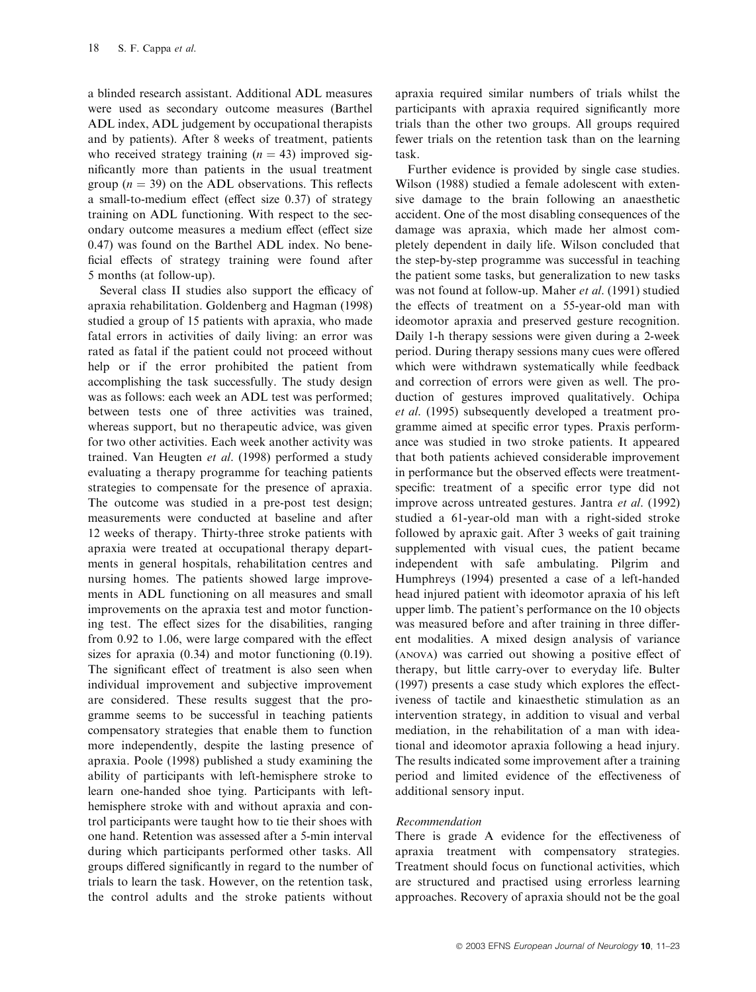a blinded research assistant. Additional ADL measures were used as secondary outcome measures (Barthel ADL index, ADL judgement by occupational therapists and by patients). After 8 weeks of treatment, patients who received strategy training  $(n = 43)$  improved significantly more than patients in the usual treatment group ( $n = 39$ ) on the ADL observations. This reflects a small-to-medium effect (effect size 0.37) of strategy training on ADL functioning. With respect to the secondary outcome measures a medium effect (effect size 0.47) was found on the Barthel ADL index. No beneficial effects of strategy training were found after 5 months (at follow-up).

Several class II studies also support the efficacy of apraxia rehabilitation. Goldenberg and Hagman (1998) studied a group of 15 patients with apraxia, who made fatal errors in activities of daily living: an error was rated as fatal if the patient could not proceed without help or if the error prohibited the patient from accomplishing the task successfully. The study design was as follows: each week an ADL test was performed; between tests one of three activities was trained, whereas support, but no therapeutic advice, was given for two other activities. Each week another activity was trained. Van Heugten et al. (1998) performed a study evaluating a therapy programme for teaching patients strategies to compensate for the presence of apraxia. The outcome was studied in a pre-post test design; measurements were conducted at baseline and after 12 weeks of therapy. Thirty-three stroke patients with apraxia were treated at occupational therapy departments in general hospitals, rehabilitation centres and nursing homes. The patients showed large improvements in ADL functioning on all measures and small improvements on the apraxia test and motor functioning test. The effect sizes for the disabilities, ranging from 0.92 to 1.06, were large compared with the effect sizes for apraxia (0.34) and motor functioning (0.19). The significant effect of treatment is also seen when individual improvement and subjective improvement are considered. These results suggest that the programme seems to be successful in teaching patients compensatory strategies that enable them to function more independently, despite the lasting presence of apraxia. Poole (1998) published a study examining the ability of participants with left-hemisphere stroke to learn one-handed shoe tying. Participants with lefthemisphere stroke with and without apraxia and control participants were taught how to tie their shoes with one hand. Retention was assessed after a 5-min interval during which participants performed other tasks. All groups differed significantly in regard to the number of trials to learn the task. However, on the retention task, the control adults and the stroke patients without

apraxia required similar numbers of trials whilst the participants with apraxia required significantly more trials than the other two groups. All groups required fewer trials on the retention task than on the learning task.

Further evidence is provided by single case studies. Wilson (1988) studied a female adolescent with extensive damage to the brain following an anaesthetic accident. One of the most disabling consequences of the damage was apraxia, which made her almost completely dependent in daily life. Wilson concluded that the step-by-step programme was successful in teaching the patient some tasks, but generalization to new tasks was not found at follow-up. Maher et al. (1991) studied the effects of treatment on a 55-year-old man with ideomotor apraxia and preserved gesture recognition. Daily 1-h therapy sessions were given during a 2-week period. During therapy sessions many cues were offered which were withdrawn systematically while feedback and correction of errors were given as well. The production of gestures improved qualitatively. Ochipa et al. (1995) subsequently developed a treatment programme aimed at specific error types. Praxis performance was studied in two stroke patients. It appeared that both patients achieved considerable improvement in performance but the observed effects were treatmentspecific: treatment of a specific error type did not improve across untreated gestures. Jantra et al. (1992) studied a 61-year-old man with a right-sided stroke followed by apraxic gait. After 3 weeks of gait training supplemented with visual cues, the patient became independent with safe ambulating. Pilgrim and Humphreys (1994) presented a case of a left-handed head injured patient with ideomotor apraxia of his left upper limb. The patient's performance on the 10 objects was measured before and after training in three different modalities. A mixed design analysis of variance (ANOVA) was carried out showing a positive effect of therapy, but little carry-over to everyday life. Bulter (1997) presents a case study which explores the effectiveness of tactile and kinaesthetic stimulation as an intervention strategy, in addition to visual and verbal mediation, in the rehabilitation of a man with ideational and ideomotor apraxia following a head injury. The results indicated some improvement after a training period and limited evidence of the effectiveness of additional sensory input.

## Recommendation

There is grade A evidence for the effectiveness of apraxia treatment with compensatory strategies. Treatment should focus on functional activities, which are structured and practised using errorless learning approaches. Recovery of apraxia should not be the goal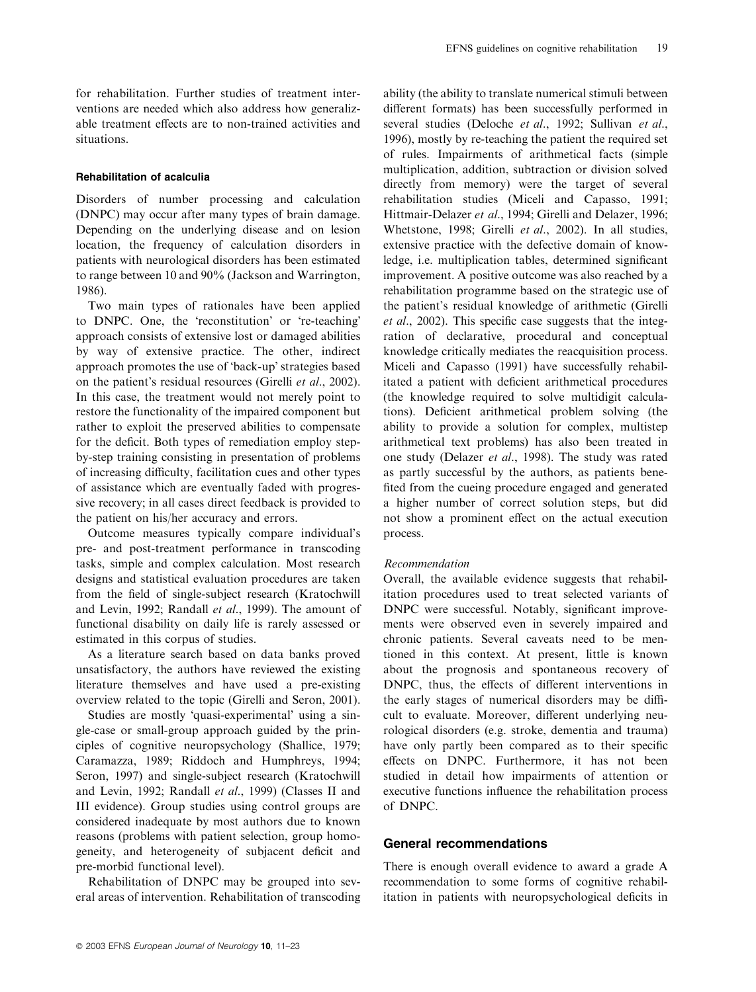for rehabilitation. Further studies of treatment interventions are needed which also address how generalizable treatment effects are to non-trained activities and situations.

#### Rehabilitation of acalculia

Disorders of number processing and calculation (DNPC) may occur after many types of brain damage. Depending on the underlying disease and on lesion location, the frequency of calculation disorders in patients with neurological disorders has been estimated to range between 10 and 90% (Jackson and Warrington, 1986).

Two main types of rationales have been applied to DNPC. One, the 'reconstitution' or 're-teaching' approach consists of extensive lost or damaged abilities by way of extensive practice. The other, indirect approach promotes the use of 'back-up' strategies based on the patient's residual resources (Girelli et al., 2002). In this case, the treatment would not merely point to restore the functionality of the impaired component but rather to exploit the preserved abilities to compensate for the deficit. Both types of remediation employ stepby-step training consisting in presentation of problems of increasing difficulty, facilitation cues and other types of assistance which are eventually faded with progressive recovery; in all cases direct feedback is provided to the patient on his/her accuracy and errors.

Outcome measures typically compare individual's pre- and post-treatment performance in transcoding tasks, simple and complex calculation. Most research designs and statistical evaluation procedures are taken from the field of single-subject research (Kratochwill and Levin, 1992; Randall et al., 1999). The amount of functional disability on daily life is rarely assessed or estimated in this corpus of studies.

As a literature search based on data banks proved unsatisfactory, the authors have reviewed the existing literature themselves and have used a pre-existing overview related to the topic (Girelli and Seron, 2001).

Studies are mostly 'quasi-experimental' using a single-case or small-group approach guided by the principles of cognitive neuropsychology (Shallice, 1979; Caramazza, 1989; Riddoch and Humphreys, 1994; Seron, 1997) and single-subject research (Kratochwill and Levin, 1992; Randall et al., 1999) (Classes II and III evidence). Group studies using control groups are considered inadequate by most authors due to known reasons (problems with patient selection, group homogeneity, and heterogeneity of subjacent deficit and pre-morbid functional level).

Rehabilitation of DNPC may be grouped into several areas of intervention. Rehabilitation of transcoding ability (the ability to translate numerical stimuli between different formats) has been successfully performed in several studies (Deloche et al., 1992; Sullivan et al., 1996), mostly by re-teaching the patient the required set of rules. Impairments of arithmetical facts (simple multiplication, addition, subtraction or division solved directly from memory) were the target of several rehabilitation studies (Miceli and Capasso, 1991; Hittmair-Delazer et al., 1994; Girelli and Delazer, 1996; Whetstone, 1998; Girelli et al., 2002). In all studies, extensive practice with the defective domain of knowledge, i.e. multiplication tables, determined significant improvement. A positive outcome was also reached by a rehabilitation programme based on the strategic use of the patient's residual knowledge of arithmetic (Girelli et al., 2002). This specific case suggests that the integration of declarative, procedural and conceptual knowledge critically mediates the reacquisition process. Miceli and Capasso (1991) have successfully rehabilitated a patient with deficient arithmetical procedures (the knowledge required to solve multidigit calculations). Deficient arithmetical problem solving (the ability to provide a solution for complex, multistep arithmetical text problems) has also been treated in one study (Delazer et al., 1998). The study was rated as partly successful by the authors, as patients benefited from the cueing procedure engaged and generated a higher number of correct solution steps, but did not show a prominent effect on the actual execution process.

## Recommendation

Overall, the available evidence suggests that rehabilitation procedures used to treat selected variants of DNPC were successful. Notably, significant improvements were observed even in severely impaired and chronic patients. Several caveats need to be mentioned in this context. At present, little is known about the prognosis and spontaneous recovery of DNPC, thus, the effects of different interventions in the early stages of numerical disorders may be difficult to evaluate. Moreover, different underlying neurological disorders (e.g. stroke, dementia and trauma) have only partly been compared as to their specific effects on DNPC. Furthermore, it has not been studied in detail how impairments of attention or executive functions influence the rehabilitation process of DNPC.

#### General recommendations

There is enough overall evidence to award a grade A recommendation to some forms of cognitive rehabilitation in patients with neuropsychological deficits in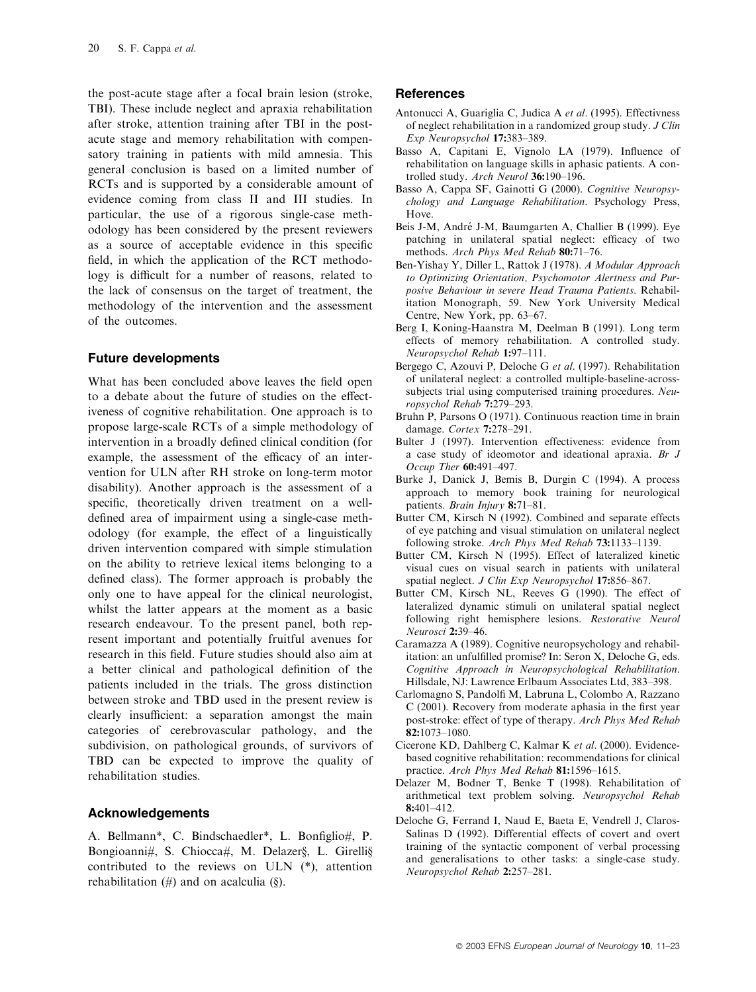the post-acute stage after a focal brain lesion (stroke, TBI). These include neglect and apraxia rehabilitation after stroke, attention training after TBI in the postacute stage and memory rehabilitation with compensatory training in patients with mild amnesia. This general conclusion is based on a limited number of RCTs and is supported by a considerable amount of evidence coming from class II and III studies. In particular, the use of a rigorous single-case methodology has been considered by the present reviewers as a source of acceptable evidence in this specific field, in which the application of the RCT methodology is difficult for a number of reasons, related to the lack of consensus on the target of treatment, the methodology of the intervention and the assessment of the outcomes.

#### Future developments

What has been concluded above leaves the field open to a debate about the future of studies on the effectiveness of cognitive rehabilitation. One approach is to propose large-scale RCTs of a simple methodology of intervention in a broadly defined clinical condition (for example, the assessment of the efficacy of an intervention for ULN after RH stroke on long-term motor disability). Another approach is the assessment of a specific, theoretically driven treatment on a welldefined area of impairment using a single-case methodology (for example, the effect of a linguistically driven intervention compared with simple stimulation on the ability to retrieve lexical items belonging to a defined class). The former approach is probably the only one to have appeal for the clinical neurologist, whilst the latter appears at the moment as a basic research endeavour. To the present panel, both represent important and potentially fruitful avenues for research in this field. Future studies should also aim at a better clinical and pathological definition of the patients included in the trials. The gross distinction between stroke and TBD used in the present review is clearly insufficient: a separation amongst the main categories of cerebrovascular pathology, and the subdivision, on pathological grounds, of survivors of TBD can be expected to improve the quality of rehabilitation studies.

#### Acknowledgements

A. Bellmann\*, C. Bindschaedler\*, L. Bonfiglio#, P. Bongioanni#, S. Chiocca#, M. Delazer§, L. Girelli§ contributed to the reviews on ULN (\*), attention rehabilitation  $(\#)$  and on acalculia  $(\S)$ .

#### **References**

- Antonucci A, Guariglia C, Judica A et al. (1995). Effectivness of neglect rehabilitation in a randomized group study. J Clin Exp Neuropsychol 17:383-389.
- Basso A, Capitani E, Vignolo LA (1979). Influence of rehabilitation on language skills in aphasic patients. A controlled study. Arch Neurol 36:190–196.
- Basso A, Cappa SF, Gainotti G (2000). Cognitive Neuropsychology and Language Rehabilitation. Psychology Press, Hove.
- Beis J-M, André J-M, Baumgarten A, Challier B (1999). Eye patching in unilateral spatial neglect: efficacy of two methods. Arch Phys Med Rehab 80:71–76.
- Ben-Yishay Y, Diller L, Rattok J (1978). A Modular Approach to Optimizing Orientation, Psychomotor Alertness and Purposive Behaviour in severe Head Trauma Patients. Rehabilitation Monograph, 59. New York University Medical Centre, New York, pp. 63–67.
- Berg I, Koning-Haanstra M, Deelman B (1991). Long term effects of memory rehabilitation. A controlled study. Neuropsychol Rehab 1:97–111.
- Bergego C, Azouvi P, Deloche G et al. (1997). Rehabilitation of unilateral neglect: a controlled multiple-baseline-acrosssubjects trial using computerised training procedures. Neuropsychol Rehab 7:279–293.
- Bruhn P, Parsons O (1971). Continuous reaction time in brain damage. Cortex 7:278–291.
- Bulter J (1997). Intervention effectiveness: evidence from a case study of ideomotor and ideational apraxia. Br J Occup Ther 60:491–497.
- Burke J, Danick J, Bemis B, Durgin C (1994). A process approach to memory book training for neurological patients. Brain Injury 8:71–81.
- Butter CM, Kirsch N (1992). Combined and separate effects of eye patching and visual stimulation on unilateral neglect following stroke. Arch Phys Med Rehab 73:1133–1139.
- Butter CM, Kirsch N (1995). Effect of lateralized kinetic visual cues on visual search in patients with unilateral spatial neglect. J Clin Exp Neuropsychol 17:856-867.
- Butter CM, Kirsch NL, Reeves G (1990). The effect of lateralized dynamic stimuli on unilateral spatial neglect following right hemisphere lesions. Restorative Neurol Neurosci 2:39–46.
- Caramazza A (1989). Cognitive neuropsychology and rehabilitation: an unfulfilled promise? In: Seron X, Deloche G, eds. Cognitive Approach in Neuropsychological Rehabilitation. Hillsdale, NJ: Lawrence Erlbaum Associates Ltd, 383–398.
- Carlomagno S, Pandolfi M, Labruna L, Colombo A, Razzano C (2001). Recovery from moderate aphasia in the first year post-stroke: effect of type of therapy. Arch Phys Med Rehab 82:1073–1080.
- Cicerone KD, Dahlberg C, Kalmar K et al. (2000). Evidencebased cognitive rehabilitation: recommendations for clinical practice. Arch Phys Med Rehab 81:1596–1615.
- Delazer M, Bodner T, Benke T (1998). Rehabilitation of arithmetical text problem solving. Neuropsychol Rehab 8:401–412.
- Deloche G, Ferrand I, Naud E, Baeta E, Vendrell J, Claros-Salinas D (1992). Differential effects of covert and overt training of the syntactic component of verbal processing and generalisations to other tasks: a single-case study. Neuropsychol Rehab 2:257–281.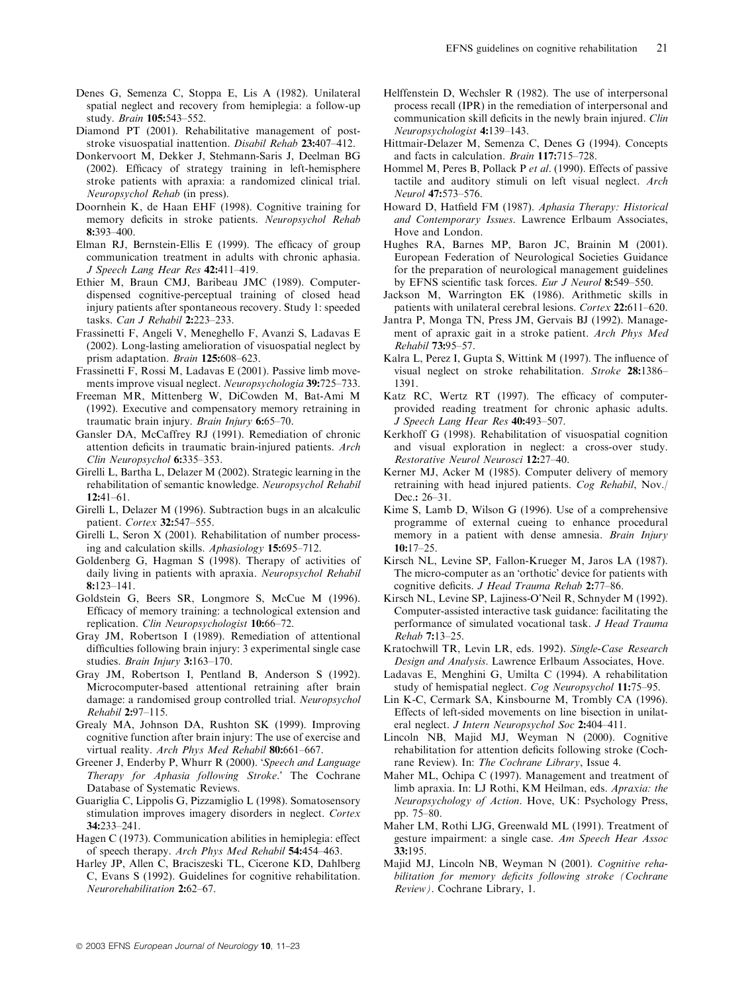- Denes G, Semenza C, Stoppa E, Lis A (1982). Unilateral spatial neglect and recovery from hemiplegia: a follow-up study. Brain 105:543–552.
- Diamond PT (2001). Rehabilitative management of poststroke visuospatial inattention. Disabil Rehab 23:407–412.
- Donkervoort M, Dekker J, Stehmann-Saris J, Deelman BG (2002). Efficacy of strategy training in left-hemisphere stroke patients with apraxia: a randomized clinical trial. Neuropsychol Rehab (in press).
- Doornhein K, de Haan EHF (1998). Cognitive training for memory deficits in stroke patients. Neuropsychol Rehab 8:393–400.
- Elman RJ, Bernstein-Ellis E (1999). The efficacy of group communication treatment in adults with chronic aphasia. J Speech Lang Hear Res 42:411–419.
- Ethier M, Braun CMJ, Baribeau JMC (1989). Computerdispensed cognitive-perceptual training of closed head injury patients after spontaneous recovery. Study 1: speeded tasks. Can J Rehabil 2:223–233.
- Frassinetti F, Angeli V, Meneghello F, Avanzi S, Ladavas E (2002). Long-lasting amelioration of visuospatial neglect by prism adaptation. Brain 125:608–623.
- Frassinetti F, Rossi M, Ladavas E (2001). Passive limb movements improve visual neglect. Neuropsychologia 39:725–733.
- Freeman MR, Mittenberg W, DiCowden M, Bat-Ami M (1992). Executive and compensatory memory retraining in traumatic brain injury. Brain Injury 6:65–70.
- Gansler DA, McCaffrey RJ (1991). Remediation of chronic attention deficits in traumatic brain-injured patients. Arch Clin Neuropsychol 6:335–353.
- Girelli L, Bartha L, Delazer M (2002). Strategic learning in the rehabilitation of semantic knowledge. Neuropsychol Rehabil 12:41–61.
- Girelli L, Delazer M (1996). Subtraction bugs in an alcalculic patient. Cortex 32:547–555.
- Girelli L, Seron X (2001). Rehabilitation of number processing and calculation skills. Aphasiology 15:695–712.
- Goldenberg G, Hagman S (1998). Therapy of activities of daily living in patients with apraxia. Neuropsychol Rehabil 8:123–141.
- Goldstein G, Beers SR, Longmore S, McCue M (1996). Efficacy of memory training: a technological extension and replication. Clin Neuropsychologist 10:66–72.
- Gray JM, Robertson I (1989). Remediation of attentional difficulties following brain injury: 3 experimental single case studies. Brain Injury 3:163–170.
- Gray JM, Robertson I, Pentland B, Anderson S (1992). Microcomputer-based attentional retraining after brain damage: a randomised group controlled trial. Neuropsychol Rehabil 2:97–115.
- Grealy MA, Johnson DA, Rushton SK (1999). Improving cognitive function after brain injury: The use of exercise and virtual reality. Arch Phys Med Rehabil 80:661–667.
- Greener J, Enderby P, Whurr R (2000). 'Speech and Language Therapy for Aphasia following Stroke.' The Cochrane Database of Systematic Reviews.
- Guariglia C, Lippolis G, Pizzamiglio L (1998). Somatosensory stimulation improves imagery disorders in neglect. Cortex 34:233–241.
- Hagen C (1973). Communication abilities in hemiplegia: effect of speech therapy. Arch Phys Med Rehabil 54:454–463.
- Harley JP, Allen C, Braciszeski TL, Cicerone KD, Dahlberg C, Evans S (1992). Guidelines for cognitive rehabilitation. Neurorehabilitation 2:62–67.
- Helffenstein D, Wechsler R (1982). The use of interpersonal process recall (IPR) in the remediation of interpersonal and communication skill deficits in the newly brain injured. Clin Neuropsychologist 4:139–143.
- Hittmair-Delazer M, Semenza C, Denes G (1994). Concepts and facts in calculation. Brain 117:715–728.
- Hommel M, Peres B, Pollack P et al. (1990). Effects of passive tactile and auditory stimuli on left visual neglect. Arch Neurol 47:573-576.
- Howard D, Hatfield FM (1987). Aphasia Therapy: Historical and Contemporary Issues. Lawrence Erlbaum Associates, Hove and London.
- Hughes RA, Barnes MP, Baron JC, Brainin M (2001). European Federation of Neurological Societies Guidance for the preparation of neurological management guidelines by EFNS scientific task forces. Eur J Neurol 8:549–550.
- Jackson M, Warrington EK (1986). Arithmetic skills in patients with unilateral cerebral lesions. Cortex 22:611–620.
- Jantra P, Monga TN, Press JM, Gervais BJ (1992). Management of apraxic gait in a stroke patient. Arch Phys Med Rehabil 73:95–57.
- Kalra L, Perez I, Gupta S, Wittink M (1997). The influence of visual neglect on stroke rehabilitation. Stroke 28:1386– 1391.
- Katz RC, Wertz RT (1997). The efficacy of computerprovided reading treatment for chronic aphasic adults. J Speech Lang Hear Res 40:493–507.
- Kerkhoff G (1998). Rehabilitation of visuospatial cognition and visual exploration in neglect: a cross-over study. Restorative Neurol Neurosci 12:27–40.
- Kerner MJ, Acker M (1985). Computer delivery of memory retraining with head injured patients. Cog Rehabil, Nov./ Dec.: 26–31.
- Kime S, Lamb D, Wilson G (1996). Use of a comprehensive programme of external cueing to enhance procedural memory in a patient with dense amnesia. Brain Injury 10:17–25.
- Kirsch NL, Levine SP, Fallon-Krueger M, Jaros LA (1987). The micro-computer as an 'orthotic' device for patients with cognitive deficits. J Head Trauma Rehab 2:77–86.
- Kirsch NL, Levine SP, Lajiness-O'Neil R, Schnyder M (1992). Computer-assisted interactive task guidance: facilitating the performance of simulated vocational task. J Head Trauma Rehab 7:13–25.
- Kratochwill TR, Levin LR, eds. 1992). Single-Case Research Design and Analysis. Lawrence Erlbaum Associates, Hove.
- Ladavas E, Menghini G, Umilta C (1994). A rehabilitation study of hemispatial neglect. Cog Neuropsychol 11:75–95.
- Lin K-C, Cermark SA, Kinsbourne M, Trombly CA (1996). Effects of left-sided movements on line bisection in unilateral neglect. J Intern Neuropsychol Soc 2:404–411.
- Lincoln NB, Majid MJ, Weyman N (2000). Cognitive rehabilitation for attention deficits following stroke (Cochrane Review). In: The Cochrane Library, Issue 4.
- Maher ML, Ochipa C (1997). Management and treatment of limb apraxia. In: LJ Rothi, KM Heilman, eds. Apraxia: the Neuropsychology of Action. Hove, UK: Psychology Press, pp. 75–80.
- Maher LM, Rothi LJG, Greenwald ML (1991). Treatment of gesture impairment: a single case. Am Speech Hear Assoc 33:195.
- Majid MJ, Lincoln NB, Weyman N (2001). Cognitive rehabilitation for memory deficits following stroke (Cochrane Review). Cochrane Library, 1.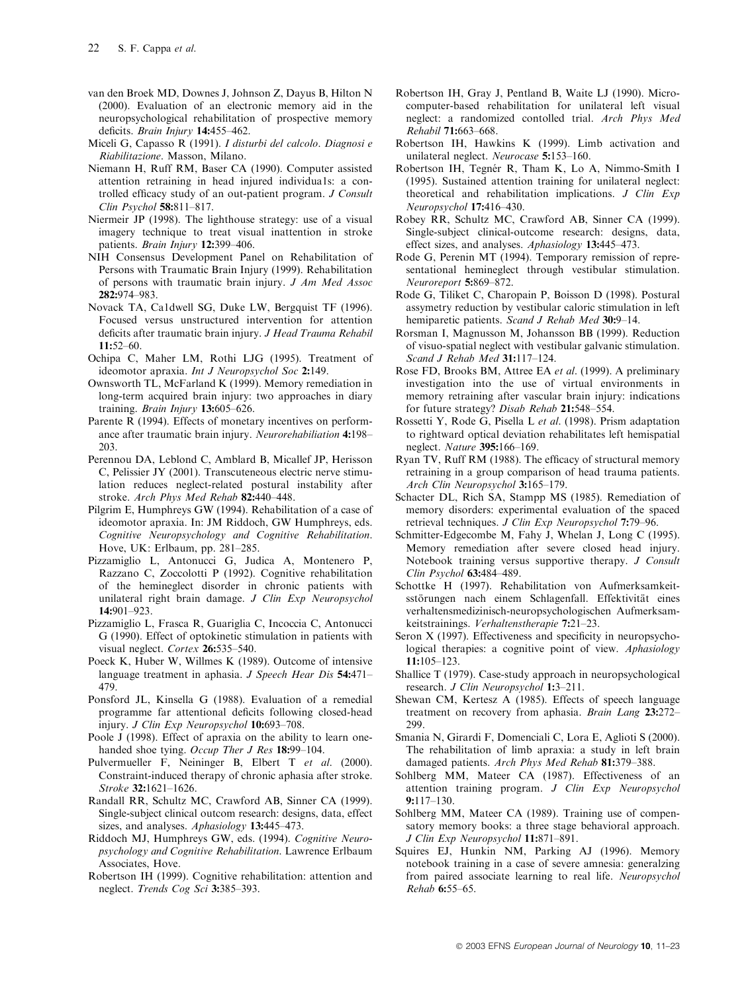- van den Broek MD, Downes J, Johnson Z, Dayus B, Hilton N (2000). Evaluation of an electronic memory aid in the neuropsychological rehabilitation of prospective memory deficits. Brain Injury 14:455–462.
- Miceli G, Capasso R (1991). I disturbi del calcolo. Diagnosi e Riabilitazione. Masson, Milano.
- Niemann H, Ruff RM, Baser CA (1990). Computer assisted attention retraining in head injured individua1s: a controlled efficacy study of an out-patient program. J Consult Clin Psychol 58:811–817.
- Niermeir JP (1998). The lighthouse strategy: use of a visual imagery technique to treat visual inattention in stroke patients. Brain Injury 12:399–406.
- NIH Consensus Development Panel on Rehabilitation of Persons with Traumatic Brain Injury (1999). Rehabilitation of persons with traumatic brain injury. J Am Med Assoc 282:974–983.
- Novack TA, Ca1dwell SG, Duke LW, Bergquist TF (1996). Focused versus unstructured intervention for attention deficits after traumatic brain injury. J Head Trauma Rehabil 11:52–60.
- Ochipa C, Maher LM, Rothi LJG (1995). Treatment of ideomotor apraxia. Int J Neuropsychol Soc 2:149.
- Ownsworth TL, McFarland K (1999). Memory remediation in long-term acquired brain injury: two approaches in diary training. Brain Injury 13:605–626.
- Parente R (1994). Effects of monetary incentives on performance after traumatic brain injury. Neurorehabiliation 4:198– 203.
- Perennou DA, Leblond C, Amblard B, Micallef JP, Herisson C, Pelissier JY (2001). Transcuteneous electric nerve stimulation reduces neglect-related postural instability after stroke. Arch Phys Med Rehab 82:440–448.
- Pilgrim E, Humphreys GW (1994). Rehabilitation of a case of ideomotor apraxia. In: JM Riddoch, GW Humphreys, eds. Cognitive Neuropsychology and Cognitive Rehabilitation. Hove, UK: Erlbaum, pp. 281–285.
- Pizzamiglio L, Antonucci G, Judica A, Montenero P, Razzano C, Zoccolotti P (1992). Cognitive rehabilitation of the hemineglect disorder in chronic patients with unilateral right brain damage. J Clin Exp Neuropsychol 14:901–923.
- Pizzamiglio L, Frasca R, Guariglia C, Incoccia C, Antonucci G (1990). Effect of optokinetic stimulation in patients with visual neglect. Cortex 26:535–540.
- Poeck K, Huber W, Willmes K (1989). Outcome of intensive language treatment in aphasia. J Speech Hear Dis 54:471-479.
- Ponsford JL, Kinsella G (1988). Evaluation of a remedial programme far attentional deficits following closed-head injury. J Clin Exp Neuropsychol 10:693–708.
- Poole J (1998). Effect of apraxia on the ability to learn onehanded shoe tying. Occup Ther J Res 18:99-104.
- Pulvermueller F, Neininger B, Elbert T et al. (2000). Constraint-induced therapy of chronic aphasia after stroke. Stroke 32:1621–1626.
- Randall RR, Schultz MC, Crawford AB, Sinner CA (1999). Single-subject clinical outcom research: designs, data, effect sizes, and analyses. Aphasiology 13:445-473.
- Riddoch MJ, Humphreys GW, eds. (1994). Cognitive Neuropsychology and Cognitive Rehabilitation. Lawrence Erlbaum Associates, Hove.
- Robertson IH (1999). Cognitive rehabilitation: attention and neglect. Trends Cog Sci 3:385–393.
- Robertson IH, Gray J, Pentland B, Waite LJ (1990). Microcomputer-based rehabilitation for unilateral left visual neglect: a randomized contolled trial. Arch Phys Med Rehabil 71:663–668.
- Robertson IH, Hawkins K (1999). Limb activation and unilateral neglect. Neurocase 5:153–160.
- Robertson IH, Tegner R, Tham K, Lo A, Nimmo-Smith I (1995). Sustained attention training for unilateral neglect: theoretical and rehabilitation implications. J Clin Exp Neuropsychol 17:416–430.
- Robey RR, Schultz MC, Crawford AB, Sinner CA (1999). Single-subject clinical-outcome research: designs, data, effect sizes, and analyses. Aphasiology 13:445–473.
- Rode G, Perenin MT (1994). Temporary remission of representational hemineglect through vestibular stimulation. Neuroreport 5:869–872.
- Rode G, Tiliket C, Charopain P, Boisson D (1998). Postural assymetry reduction by vestibular caloric stimulation in left hemiparetic patients. Scand J Rehab Med 30:9-14.
- Rorsman I, Magnusson M, Johansson BB (1999). Reduction of visuo-spatial neglect with vestibular galvanic stimulation. Scand J Rehab Med 31:117–124.
- Rose FD, Brooks BM, Attree EA et al. (1999). A preliminary investigation into the use of virtual environments in memory retraining after vascular brain injury: indications for future strategy? Disab Rehab 21:548–554.
- Rossetti Y, Rode G, Pisella L et al. (1998). Prism adaptation to rightward optical deviation rehabilitates left hemispatial neglect. Nature 395:166–169.
- Ryan TV, Ruff RM (1988). The efficacy of structural memory retraining in a group comparison of head trauma patients. Arch Clin Neuropsychol 3:165–179.
- Schacter DL, Rich SA, Stampp MS (1985). Remediation of memory disorders: experimental evaluation of the spaced retrieval techniques. J Clin Exp Neuropsychol 7:79–96.
- Schmitter-Edgecombe M, Fahy J, Whelan J, Long C (1995). Memory remediation after severe closed head injury. Notebook training versus supportive therapy. J Consult Clin Psychol 63:484–489.
- Schottke H (1997). Rehabilitation von Aufmerksamkeitsstörungen nach einem Schlagenfall. Effektivität eines verhaltensmedizinisch-neuropsychologischen Aufmerksamkeitstrainings. Verhaltenstherapie 7:21–23.
- Seron X (1997). Effectiveness and specificity in neuropsychological therapies: a cognitive point of view. Aphasiology 11:105–123.
- Shallice T (1979). Case-study approach in neuropsychological research. J Clin Neuropsychol 1:3–211.
- Shewan CM, Kertesz A (1985). Effects of speech language treatment on recovery from aphasia. Brain Lang 23:272– 299.
- Smania N, Girardi F, Domenciali C, Lora E, Aglioti S (2000). The rehabilitation of limb apraxia: a study in left brain damaged patients. Arch Phys Med Rehab 81:379-388.
- Sohlberg MM, Mateer CA (1987). Effectiveness of an attention training program. J Clin Exp Neuropsychol 9:117–130.
- Sohlberg MM, Mateer CA (1989). Training use of compensatory memory books: a three stage behavioral approach. J Clin Exp Neuropsychol 11:871–891.
- Squires EJ, Hunkin NM, Parking AJ (1996). Memory notebook training in a case of severe amnesia: generalzing from paired associate learning to real life. Neuropsychol Rehab 6:55–65.